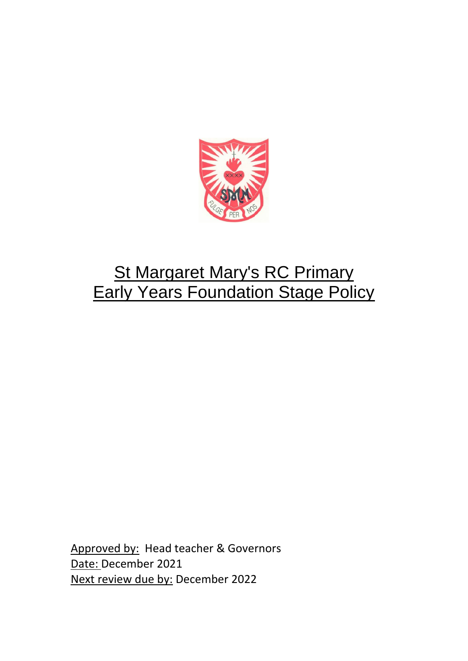

# **St Margaret Mary's RC Primary Early Years Foundation Stage Policy**

Approved by: Head teacher & Governors Date: December 2021 Next review due by: December 2022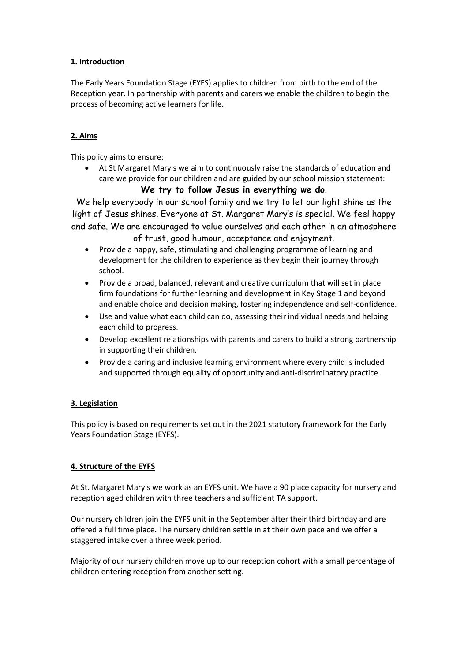## **1. Introduction**

The Early Years Foundation Stage (EYFS) applies to children from birth to the end of the Reception year. In partnership with parents and carers we enable the children to begin the process of becoming active learners for life.

# **2. Aims**

This policy aims to ensure:

 At St Margaret Mary's we aim to continuously raise the standards of education and care we provide for our children and are guided by our school mission statement:

# **We try to follow Jesus in everything we do**.

We help everybody in our school family and we try to let our light shine as the light of Jesus shines. Everyone at St. Margaret Mary's is special. We feel happy and safe. We are encouraged to value ourselves and each other in an atmosphere

of trust, good humour, acceptance and enjoyment.

- Provide a happy, safe, stimulating and challenging programme of learning and development for the children to experience as they begin their journey through school.
- Provide a broad, balanced, relevant and creative curriculum that will set in place firm foundations for further learning and development in Key Stage 1 and beyond and enable choice and decision making, fostering independence and self-confidence.
- Use and value what each child can do, assessing their individual needs and helping each child to progress.
- Develop excellent relationships with parents and carers to build a strong partnership in supporting their children.
- Provide a caring and inclusive learning environment where every child is included and supported through equality of opportunity and anti-discriminatory practice.

## **3. Legislation**

This policy is based on requirements set out in the 2021 statutory framework for the Early Years Foundation Stage (EYFS).

# **4. Structure of the EYFS**

At St. Margaret Mary's we work as an EYFS unit. We have a 90 place capacity for nursery and reception aged children with three teachers and sufficient TA support.

Our nursery children join the EYFS unit in the September after their third birthday and are offered a full time place. The nursery children settle in at their own pace and we offer a staggered intake over a three week period.

Majority of our nursery children move up to our reception cohort with a small percentage of children entering reception from another setting.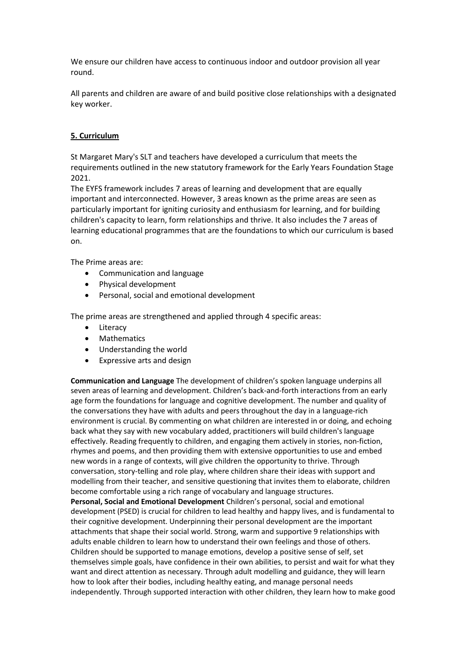We ensure our children have access to continuous indoor and outdoor provision all year round.

All parents and children are aware of and build positive close relationships with a designated key worker.

## **5. Curriculum**

St Margaret Mary's SLT and teachers have developed a curriculum that meets the requirements outlined in the new statutory framework for the Early Years Foundation Stage 2021.

The EYFS framework includes 7 areas of learning and development that are equally important and interconnected. However, 3 areas known as the prime areas are seen as particularly important for igniting curiosity and enthusiasm for learning, and for building children's capacity to learn, form relationships and thrive. It also includes the 7 areas of learning educational programmes that are the foundations to which our curriculum is based on.

The Prime areas are:

- Communication and language
- Physical development
- Personal, social and emotional development

The prime areas are strengthened and applied through 4 specific areas:

- Literacy
- Mathematics
- Understanding the world
- Expressive arts and design

**Communication and Language** The development of children's spoken language underpins all seven areas of learning and development. Children's back-and-forth interactions from an early age form the foundations for language and cognitive development. The number and quality of the conversations they have with adults and peers throughout the day in a language-rich environment is crucial. By commenting on what children are interested in or doing, and echoing back what they say with new vocabulary added, practitioners will build children's language effectively. Reading frequently to children, and engaging them actively in stories, non-fiction, rhymes and poems, and then providing them with extensive opportunities to use and embed new words in a range of contexts, will give children the opportunity to thrive. Through conversation, story-telling and role play, where children share their ideas with support and modelling from their teacher, and sensitive questioning that invites them to elaborate, children become comfortable using a rich range of vocabulary and language structures.

**Personal, Social and Emotional Development** Children's personal, social and emotional development (PSED) is crucial for children to lead healthy and happy lives, and is fundamental to their cognitive development. Underpinning their personal development are the important attachments that shape their social world. Strong, warm and supportive 9 relationships with adults enable children to learn how to understand their own feelings and those of others. Children should be supported to manage emotions, develop a positive sense of self, set themselves simple goals, have confidence in their own abilities, to persist and wait for what they want and direct attention as necessary. Through adult modelling and guidance, they will learn how to look after their bodies, including healthy eating, and manage personal needs independently. Through supported interaction with other children, they learn how to make good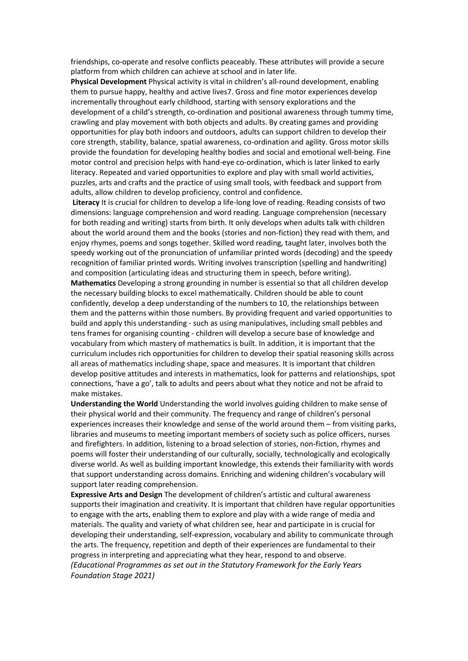friendships, co-operate and resolve conflicts peaceably. These attributes will provide a secure platform from which children can achieve at school and in later life.

**Physical Development** Physical activity is vital in children's all-round development, enabling them to pursue happy, healthy and active lives7. Gross and fine motor experiences develop incrementally throughout early childhood, starting with sensory explorations and the development of a child's strength, co-ordination and positional awareness through tummy time, crawling and play movement with both objects and adults. By creating games and providing opportunities for play both indoors and outdoors, adults can support children to develop their core strength, stability, balance, spatial awareness, co-ordination and agility. Gross motor skills provide the foundation for developing healthy bodies and social and emotional well-being. Fine motor control and precision helps with hand-eye co-ordination, which is later linked to early literacy. Repeated and varied opportunities to explore and play with small world activities, puzzles, arts and crafts and the practice of using small tools, with feedback and support from adults, allow children to develop proficiency, control and confidence.

**Literacy** It is crucial for children to develop a life-long love of reading. Reading consists of two dimensions: language comprehension and word reading. Language comprehension (necessary for both reading and writing) starts from birth. It only develops when adults talk with children about the world around them and the books (stories and non-fiction) they read with them, and enjoy rhymes, poems and songs together. Skilled word reading, taught later, involves both the speedy working out of the pronunciation of unfamiliar printed words (decoding) and the speedy recognition of familiar printed words. Writing involves transcription (spelling and handwriting) and composition (articulating ideas and structuring them in speech, before writing). **Mathematics** Developing a strong grounding in number is essential so that all children develop the necessary building blocks to excel mathematically. Children should be able to count confidently, develop a deep understanding of the numbers to 10, the relationships between them and the patterns within those numbers. By providing frequent and varied opportunities to build and apply this understanding - such as using manipulatives, including small pebbles and tens frames for organising counting - children will develop a secure base of knowledge and vocabulary from which mastery of mathematics is built. In addition, it is important that the curriculum includes rich opportunities for children to develop their spatial reasoning skills across all areas of mathematics including shape, space and measures. It is important that children develop positive attitudes and interests in mathematics, look for patterns and relationships, spot connections, 'have a go', talk to adults and peers about what they notice and not be afraid to make mistakes.

**Understanding the World** Understanding the world involves guiding children to make sense of their physical world and their community. The frequency and range of children's personal experiences increases their knowledge and sense of the world around them – from visiting parks, libraries and museums to meeting important members of society such as police officers, nurses and firefighters. In addition, listening to a broad selection of stories, non-fiction, rhymes and poems will foster their understanding of our culturally, socially, technologically and ecologically diverse world. As well as building important knowledge, this extends their familiarity with words that support understanding across domains. Enriching and widening children's vocabulary will support later reading comprehension.

**Expressive Arts and Design** The development of children's artistic and cultural awareness supports their imagination and creativity. It is important that children have regular opportunities to engage with the arts, enabling them to explore and play with a wide range of media and materials. The quality and variety of what children see, hear and participate in is crucial for developing their understanding, self-expression, vocabulary and ability to communicate through the arts. The frequency, repetition and depth of their experiences are fundamental to their progress in interpreting and appreciating what they hear, respond to and observe. *(Educational Programmes as set out in the Statutory Framework for the Early Years Foundation Stage 2021)*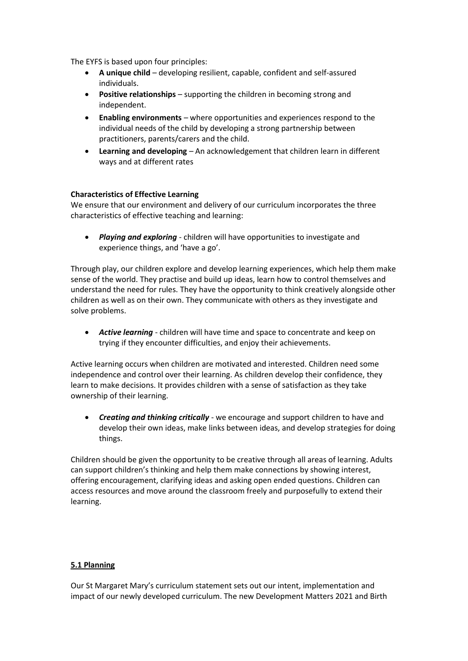The EYFS is based upon four principles:

- **A unique child** developing resilient, capable, confident and self-assured individuals.
- **Positive relationships** supporting the children in becoming strong and independent.
- **Enabling environments** where opportunities and experiences respond to the individual needs of the child by developing a strong partnership between practitioners, parents/carers and the child.
- **Learning and developing** An acknowledgement that children learn in different ways and at different rates

#### **Characteristics of Effective Learning**

We ensure that our environment and delivery of our curriculum incorporates the three characteristics of effective teaching and learning:

 *Playing and exploring* - children will have opportunities to investigate and experience things, and 'have a go'.

Through play, our children explore and develop learning experiences, which help them make sense of the world. They practise and build up ideas, learn how to control themselves and understand the need for rules. They have the opportunity to think creatively alongside other children as well as on their own. They communicate with others as they investigate and solve problems.

 *Active learning* - children will have time and space to concentrate and keep on trying if they encounter difficulties, and enjoy their achievements.

Active learning occurs when children are motivated and interested. Children need some independence and control over their learning. As children develop their confidence, they learn to make decisions. It provides children with a sense of satisfaction as they take ownership of their learning.

 *Creating and thinking critically* - we encourage and support children to have and develop their own ideas, make links between ideas, and develop strategies for doing things.

Children should be given the opportunity to be creative through all areas of learning. Adults can support children's thinking and help them make connections by showing interest, offering encouragement, clarifying ideas and asking open ended questions. Children can access resources and move around the classroom freely and purposefully to extend their learning.

#### **5.1 Planning**

Our St Margaret Mary's curriculum statement sets out our intent, implementation and impact of our newly developed curriculum. The new Development Matters 2021 and Birth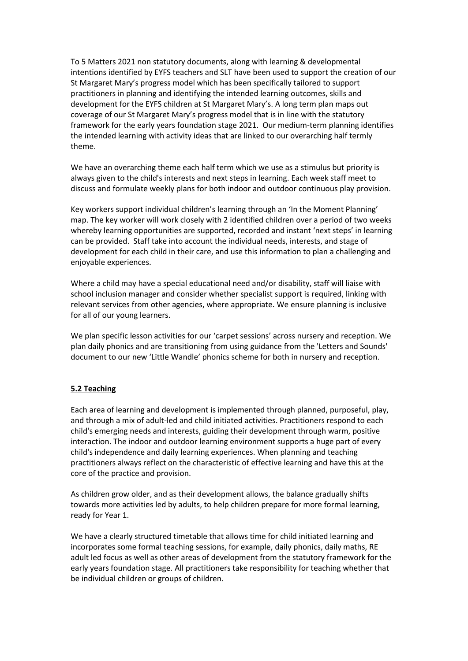To 5 Matters 2021 non statutory documents, along with learning & developmental intentions identified by EYFS teachers and SLT have been used to support the creation of our St Margaret Mary's progress model which has been specifically tailored to support practitioners in planning and identifying the intended learning outcomes, skills and development for the EYFS children at St Margaret Mary's. A long term plan maps out coverage of our St Margaret Mary's progress model that is in line with the statutory framework for the early years foundation stage 2021. Our medium-term planning identifies the intended learning with activity ideas that are linked to our overarching half termly theme.

We have an overarching theme each half term which we use as a stimulus but priority is always given to the child's interests and next steps in learning. Each week staff meet to discuss and formulate weekly plans for both indoor and outdoor continuous play provision.

Key workers support individual children's learning through an 'In the Moment Planning' map. The key worker will work closely with 2 identified children over a period of two weeks whereby learning opportunities are supported, recorded and instant 'next steps' in learning can be provided. Staff take into account the individual needs, interests, and stage of development for each child in their care, and use this information to plan a challenging and enjoyable experiences.

Where a child may have a special educational need and/or disability, staff will liaise with school inclusion manager and consider whether specialist support is required, linking with relevant services from other agencies, where appropriate. We ensure planning is inclusive for all of our young learners.

We plan specific lesson activities for our 'carpet sessions' across nursery and reception. We plan daily phonics and are transitioning from using guidance from the 'Letters and Sounds' document to our new 'Little Wandle' phonics scheme for both in nursery and reception.

#### **5.2 Teaching**

Each area of learning and development is implemented through planned, purposeful, play, and through a mix of adult-led and child initiated activities. Practitioners respond to each child's emerging needs and interests, guiding their development through warm, positive interaction. The indoor and outdoor learning environment supports a huge part of every child's independence and daily learning experiences. When planning and teaching practitioners always reflect on the characteristic of effective learning and have this at the core of the practice and provision.

As children grow older, and as their development allows, the balance gradually shifts towards more activities led by adults, to help children prepare for more formal learning, ready for Year 1.

We have a clearly structured timetable that allows time for child initiated learning and incorporates some formal teaching sessions, for example, daily phonics, daily maths, RE adult led focus as well as other areas of development from the statutory framework for the early years foundation stage. All practitioners take responsibility for teaching whether that be individual children or groups of children.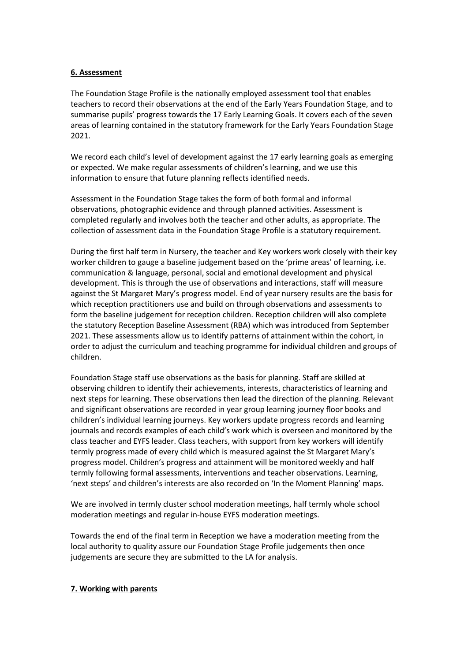#### **6. Assessment**

The Foundation Stage Profile is the nationally employed assessment tool that enables teachers to record their observations at the end of the Early Years Foundation Stage, and to summarise pupils' progress towards the 17 Early Learning Goals. It covers each of the seven areas of learning contained in the statutory framework for the Early Years Foundation Stage 2021.

We record each child's level of development against the 17 early learning goals as emerging or expected. We make regular assessments of children's learning, and we use this information to ensure that future planning reflects identified needs.

Assessment in the Foundation Stage takes the form of both formal and informal observations, photographic evidence and through planned activities. Assessment is completed regularly and involves both the teacher and other adults, as appropriate. The collection of assessment data in the Foundation Stage Profile is a statutory requirement.

During the first half term in Nursery, the teacher and Key workers work closely with their key worker children to gauge a baseline judgement based on the 'prime areas' of learning, i.e. communication & language, personal, social and emotional development and physical development. This is through the use of observations and interactions, staff will measure against the St Margaret Mary's progress model. End of year nursery results are the basis for which reception practitioners use and build on through observations and assessments to form the baseline judgement for reception children. Reception children will also complete the statutory Reception Baseline Assessment (RBA) which was introduced from September 2021. These assessments allow us to identify patterns of attainment within the cohort, in order to adjust the curriculum and teaching programme for individual children and groups of children.

Foundation Stage staff use observations as the basis for planning. Staff are skilled at observing children to identify their achievements, interests, characteristics of learning and next steps for learning. These observations then lead the direction of the planning. Relevant and significant observations are recorded in year group learning journey floor books and children's individual learning journeys. Key workers update progress records and learning journals and records examples of each child's work which is overseen and monitored by the class teacher and EYFS leader. Class teachers, with support from key workers will identify termly progress made of every child which is measured against the St Margaret Mary's progress model. Children's progress and attainment will be monitored weekly and half termly following formal assessments, interventions and teacher observations. Learning, 'next steps' and children's interests are also recorded on 'In the Moment Planning' maps.

We are involved in termly cluster school moderation meetings, half termly whole school moderation meetings and regular in-house EYFS moderation meetings.

Towards the end of the final term in Reception we have a moderation meeting from the local authority to quality assure our Foundation Stage Profile judgements then once judgements are secure they are submitted to the LA for analysis.

#### **7. Working with parents**